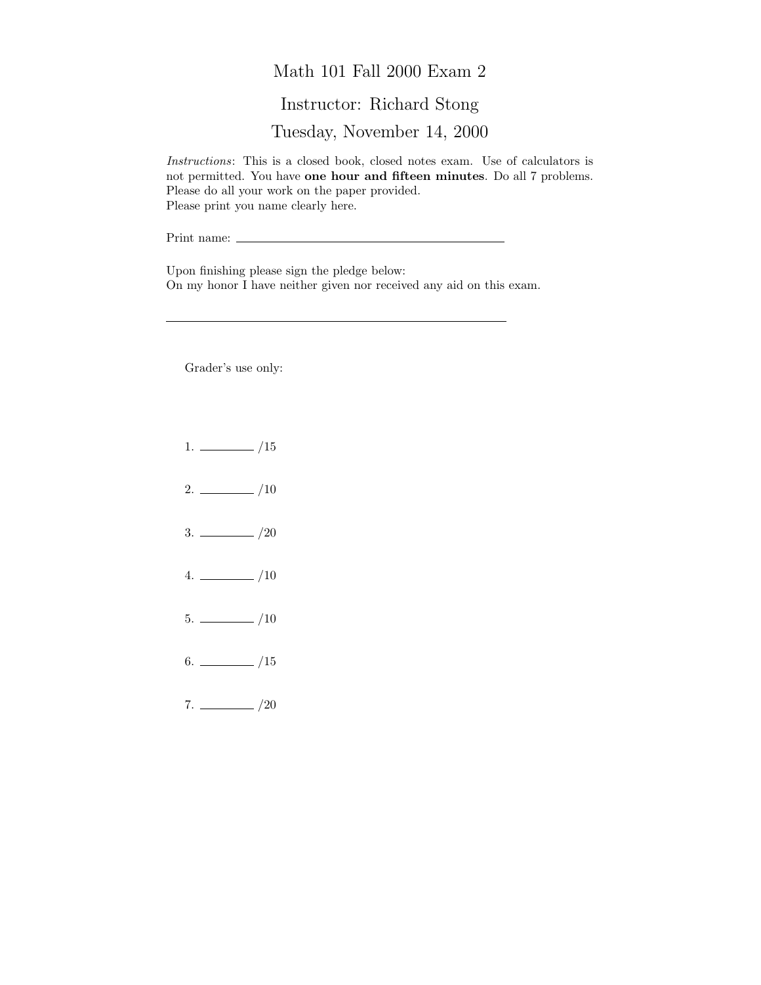## Math 101 Fall 2000 Exam 2

## Instructor: Richard Stong

Tuesday, November 14, 2000

Instructions: This is a closed book, closed notes exam. Use of calculators is not permitted. You have one hour and fifteen minutes. Do all 7 problems. Please do all your work on the paper provided. Please print you name clearly here.

Print name:

Upon finishing please sign the pledge below: On my honor I have neither given nor received any aid on this exam.

Grader's use only:

- $1. \ \_ \ \_ \ /15$
- $2. \ \frac{\ }{\ }$  /10
- $3. \ \frac{\ }{\ }$  /20
- $4. \ \_ 10$
- $5. \ \_$ /10
- $6.$  /15
- $7. \ \_/20$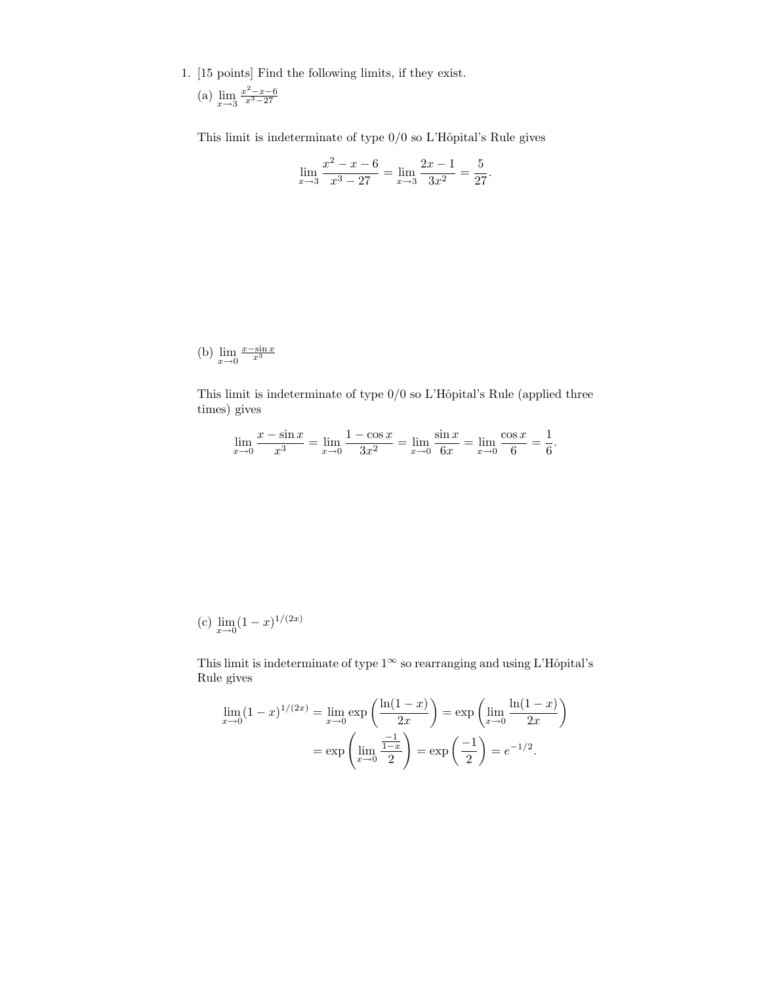1. [15 points] Find the following limits, if they exist.

(a) 
$$
\lim_{x \to 3} \frac{x^2 - x - 6}{x^3 - 27}
$$

This limit is indeterminate of type  $0/0$  so L'Hôpital's Rule gives

$$
\lim_{x \to 3} \frac{x^2 - x - 6}{x^3 - 27} = \lim_{x \to 3} \frac{2x - 1}{3x^2} = \frac{5}{27}.
$$

(b) 
$$
\lim_{x \to 0} \frac{x - \sin x}{x^3}
$$

This limit is indeterminate of type  $0/0$  so L'Hôpital's Rule (applied three times) gives

$$
\lim_{x \to 0} \frac{x - \sin x}{x^3} = \lim_{x \to 0} \frac{1 - \cos x}{3x^2} = \lim_{x \to 0} \frac{\sin x}{6x} = \lim_{x \to 0} \frac{\cos x}{6} = \frac{1}{6}.
$$

(c) 
$$
\lim_{x \to 0} (1-x)^{1/(2x)}
$$

This limit is indeterminate of type  $1^{\infty}$  so rearranging and using L'Hôpital's Rule gives

$$
\lim_{x \to 0} (1 - x)^{1/(2x)} = \lim_{x \to 0} \exp\left(\frac{\ln(1 - x)}{2x}\right) = \exp\left(\lim_{x \to 0} \frac{\ln(1 - x)}{2x}\right)
$$

$$
= \exp\left(\lim_{x \to 0} \frac{\frac{-1}{1 - x}}{2}\right) = \exp\left(\frac{-1}{2}\right) = e^{-1/2}.
$$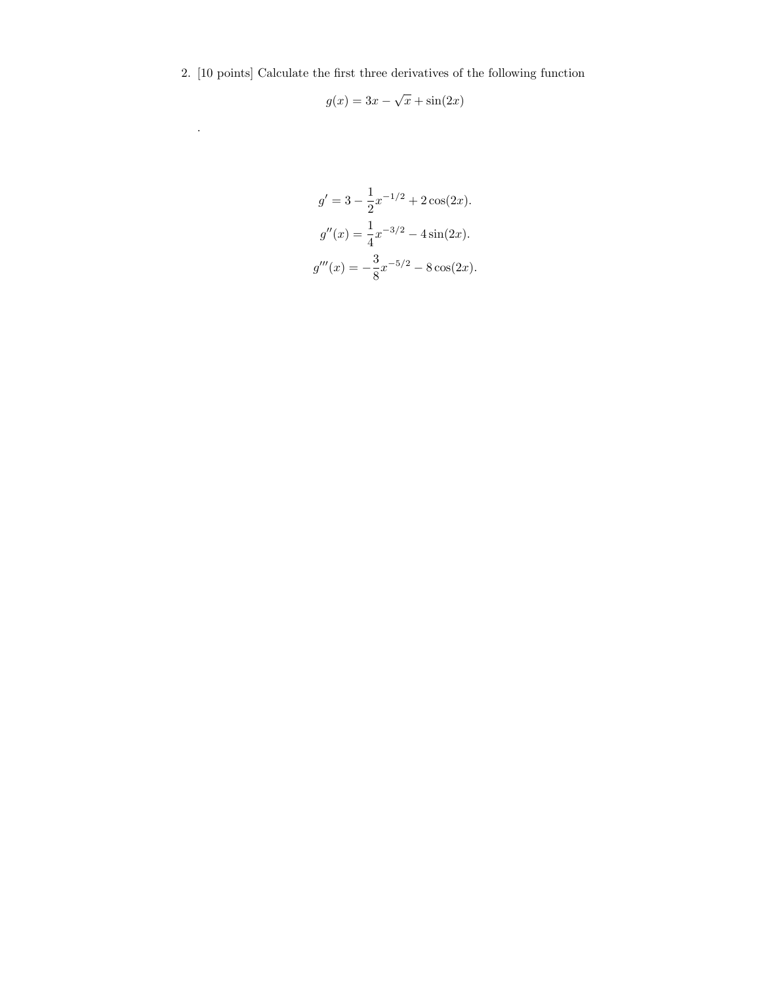2. [10 points] Calculate the first three derivatives of the following function

.

$$
g(x) = 3x - \sqrt{x} + \sin(2x)
$$

$$
g' = 3 - \frac{1}{2}x^{-1/2} + 2\cos(2x).
$$

$$
g''(x) = \frac{1}{4}x^{-3/2} - 4\sin(2x).
$$

$$
g'''(x) = -\frac{3}{8}x^{-5/2} - 8\cos(2x).
$$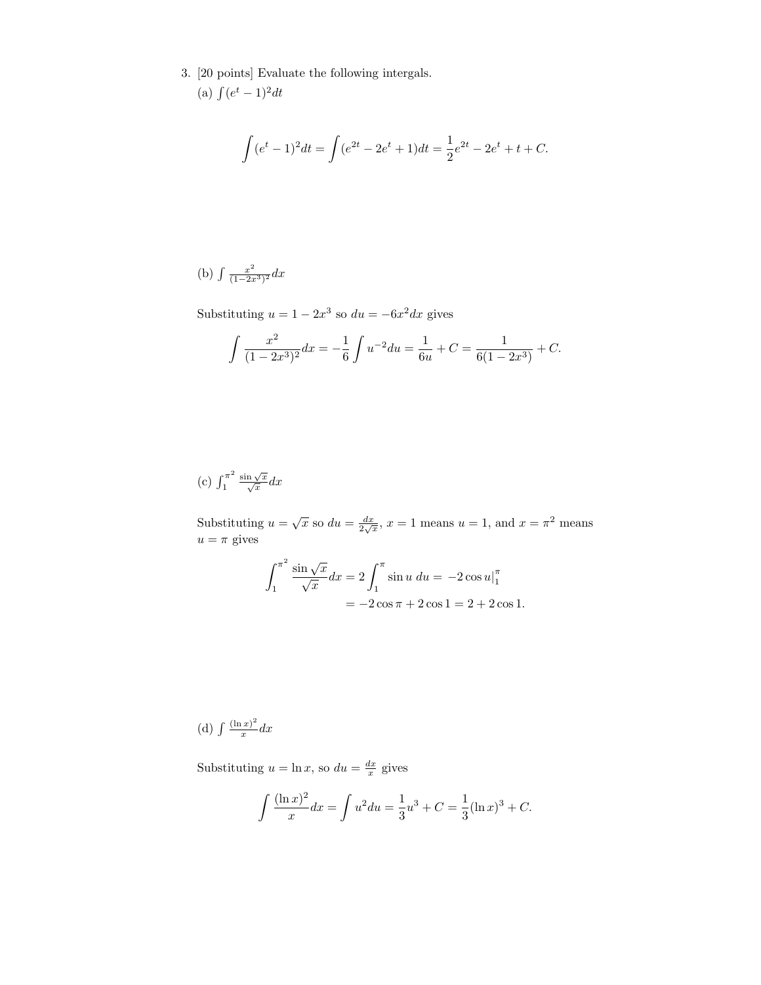3. [20 points] Evaluate the following intergals.

(a) 
$$
\int (e^t - 1)^2 dt
$$

$$
\int (e^t - 1)^2 dt = \int (e^{2t} - 2e^t + 1) dt = \frac{1}{2}e^{2t} - 2e^t + t + C.
$$

(b) 
$$
\int \frac{x^2}{(1-2x^3)^2} dx
$$

Substituting  $u = 1 - 2x^3$  so  $du = -6x^2 dx$  gives

$$
\int \frac{x^2}{(1-2x^3)^2} dx = -\frac{1}{6} \int u^{-2} du = \frac{1}{6u} + C = \frac{1}{6(1-2x^3)} + C.
$$

(c) 
$$
\int_1^{\pi^2} \frac{\sin \sqrt{x}}{\sqrt{x}} dx
$$

Substituting  $u = \sqrt{x}$  so  $du = \frac{dx}{2\sqrt{x}}$ ,  $x = 1$  means  $u = 1$ , and  $x = \pi^2$  means  $u = \pi$  gives

$$
\int_{1}^{\pi^2} \frac{\sin\sqrt{x}}{\sqrt{x}} dx = 2 \int_{1}^{\pi} \sin u \, du = -2 \cos u|_{1}^{\pi}
$$

$$
= -2 \cos \pi + 2 \cos 1 = 2 + 2 \cos 1.
$$

(d)  $\int \frac{(\ln x)^2}{x}$  $rac{f(x)}{x}$ dx

Substituting  $u = \ln x$ , so  $du = \frac{dx}{x}$  gives

$$
\int \frac{(\ln x)^2}{x} dx = \int u^2 du = \frac{1}{3}u^3 + C = \frac{1}{3}(\ln x)^3 + C.
$$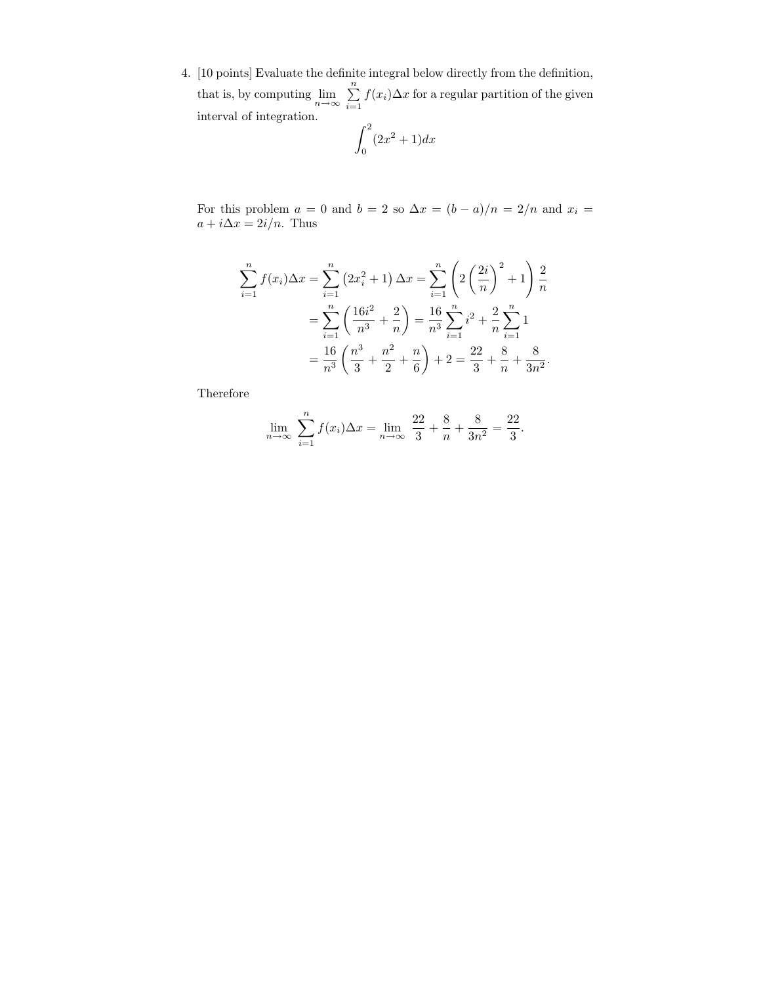4. [10 points] Evaluate the definite integral below directly from the definition, that is, by computing  $\lim_{n\to\infty} \sum_{i=1}^n$  $\sum_{i=1} f(x_i) \Delta x$  for a regular partition of the given interval of integration.

$$
\int_0^2 (2x^2 + 1) dx
$$

For this problem  $a = 0$  and  $b = 2$  so  $\Delta x = (b - a)/n = 2/n$  and  $x_i =$  $a + i\Delta x = 2i/n$ . Thus

$$
\sum_{i=1}^{n} f(x_i) \Delta x = \sum_{i=1}^{n} \left( 2x_i^2 + 1 \right) \Delta x = \sum_{i=1}^{n} \left( 2\left(\frac{2i}{n}\right)^2 + 1 \right) \frac{2}{n}
$$

$$
= \sum_{i=1}^{n} \left( \frac{16i^2}{n^3} + \frac{2}{n} \right) = \frac{16}{n^3} \sum_{i=1}^{n} i^2 + \frac{2}{n} \sum_{i=1}^{n} 1
$$

$$
= \frac{16}{n^3} \left( \frac{n^3}{3} + \frac{n^2}{2} + \frac{n}{6} \right) + 2 = \frac{22}{3} + \frac{8}{n} + \frac{8}{3n^2}.
$$

Therefore

$$
\lim_{n \to \infty} \sum_{i=1}^{n} f(x_i) \Delta x = \lim_{n \to \infty} \frac{22}{3} + \frac{8}{n} + \frac{8}{3n^2} = \frac{22}{3}.
$$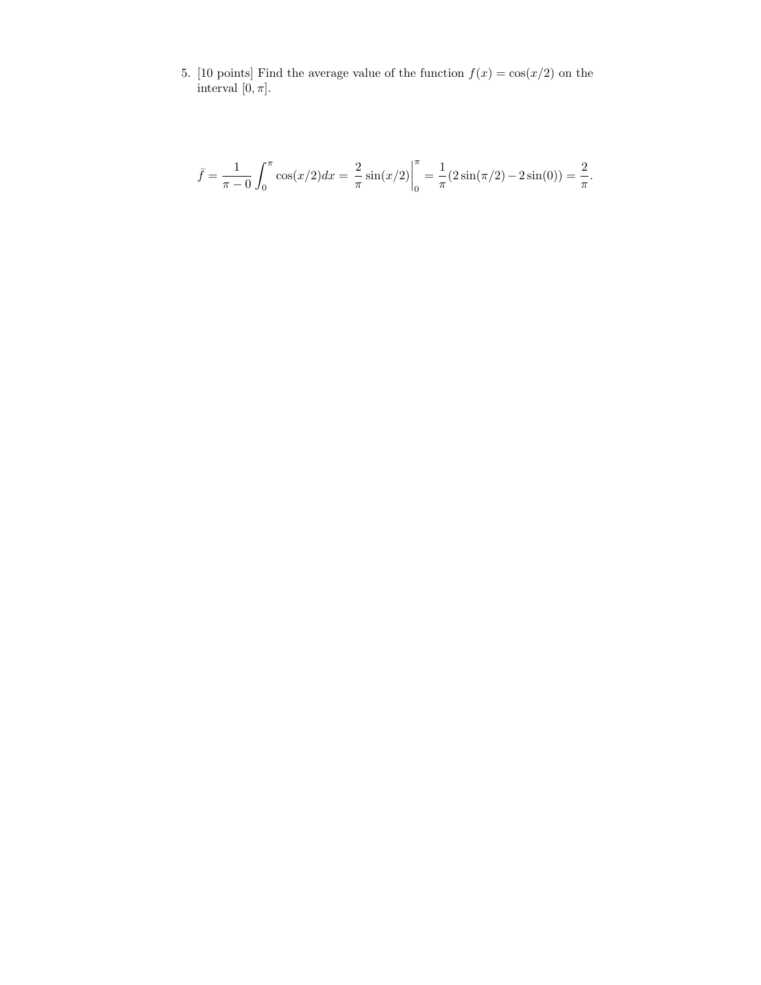5. [10 points] Find the average value of the function  $f(x) = \cos(x/2)$  on the interval  $[0, \pi]$ .

$$
\bar{f} = \frac{1}{\pi - 0} \int_0^{\pi} \cos(x/2) dx = \frac{2}{\pi} \sin(x/2) \Big|_0^{\pi} = \frac{1}{\pi} (2 \sin(\pi/2) - 2 \sin(0)) = \frac{2}{\pi}.
$$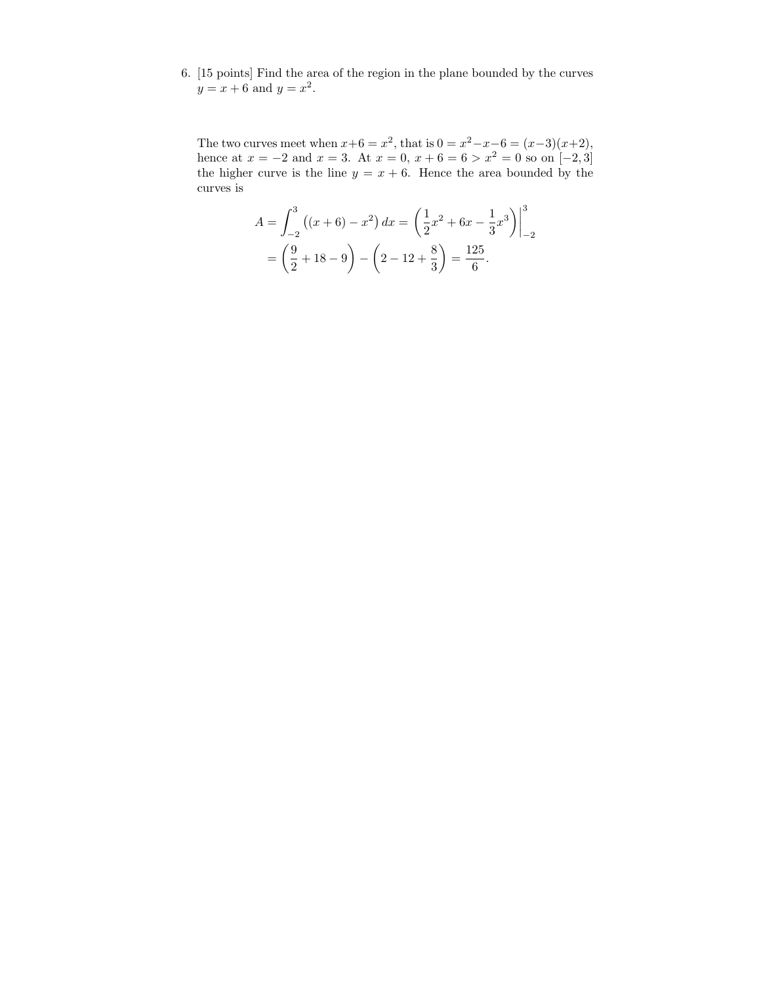6. [15 points] Find the area of the region in the plane bounded by the curves  $y = x + 6$  and  $y = x^2$ .

The two curves meet when  $x+6 = x^2$ , that is  $0 = x^2 - x - 6 = (x-3)(x+2)$ , hence at  $x = -2$  and  $x = 3$ . At  $x = 0$ ,  $x + 6 = 6 > x^2 = 0$  so on  $[-2, 3]$ the higher curve is the line  $y = x + 6$ . Hence the area bounded by the curves is

$$
A = \int_{-2}^{3} ((x+6) - x^2) dx = \left(\frac{1}{2}x^2 + 6x - \frac{1}{3}x^3\right)\Big|_{-2}^{3}
$$
  
=  $\left(\frac{9}{2} + 18 - 9\right) - \left(2 - 12 + \frac{8}{3}\right) = \frac{125}{6}.$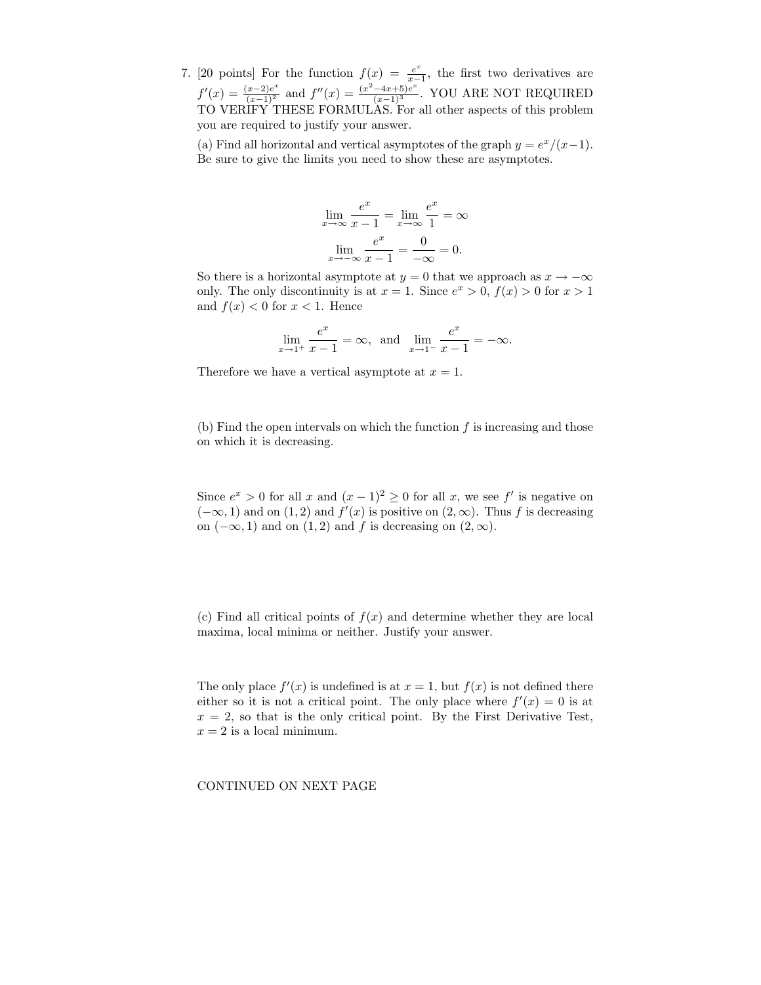7. [20 points] For the function  $f(x) = \frac{e^x}{x-1}$  $\frac{e^x}{x-1}$ , the first two derivatives are  $f'(x) = \frac{(x-2)e^x}{(x-1)^2}$  and  $f''(x) = \frac{(x^2-4x+5)e^x}{(x-1)^3}$ . YOU ARE NOT REQUIRED TO VERIFY THESE FORMULAS. For all other aspects of this problem you are required to justify your answer.

(a) Find all horizontal and vertical asymptotes of the graph  $y = e^x/(x-1)$ . Be sure to give the limits you need to show these are asymptotes.

$$
\lim_{x \to \infty} \frac{e^x}{x - 1} = \lim_{x \to \infty} \frac{e^x}{1} = \infty
$$

$$
\lim_{x \to -\infty} \frac{e^x}{x - 1} = \frac{0}{-\infty} = 0.
$$

So there is a horizontal asymptote at  $y = 0$  that we approach as  $x \to -\infty$ only. The only discontinuity is at  $x = 1$ . Since  $e^x > 0$ ,  $f(x) > 0$  for  $x > 1$ and  $f(x) < 0$  for  $x < 1$ . Hence

$$
\lim_{x \to 1^{+}} \frac{e^{x}}{x - 1} = \infty, \text{ and } \lim_{x \to 1^{-}} \frac{e^{x}}{x - 1} = -\infty.
$$

Therefore we have a vertical asymptote at  $x = 1$ .

(b) Find the open intervals on which the function  $f$  is increasing and those on which it is decreasing.

Since  $e^x > 0$  for all x and  $(x - 1)^2 \ge 0$  for all x, we see f' is negative on  $(-\infty, 1)$  and on  $(1, 2)$  and  $f'(x)$  is positive on  $(2, \infty)$ . Thus f is decreasing on  $(-\infty, 1)$  and on  $(1, 2)$  and f is decreasing on  $(2, \infty)$ .

(c) Find all critical points of  $f(x)$  and determine whether they are local maxima, local minima or neither. Justify your answer.

The only place  $f'(x)$  is undefined is at  $x = 1$ , but  $f(x)$  is not defined there either so it is not a critical point. The only place where  $f'(x) = 0$  is at  $x = 2$ , so that is the only critical point. By the First Derivative Test,  $x = 2$  is a local minimum.

CONTINUED ON NEXT PAGE